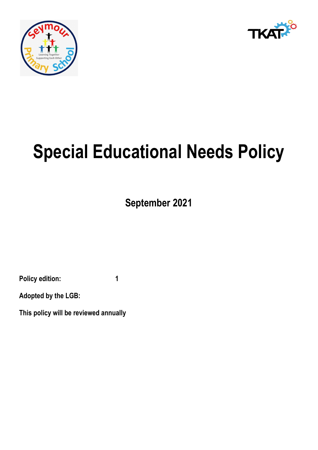



# **Special Educational Needs Policy**

**September 2021**

**Policy edition: 1**

**Adopted by the LGB:**

**This policy will be reviewed annually**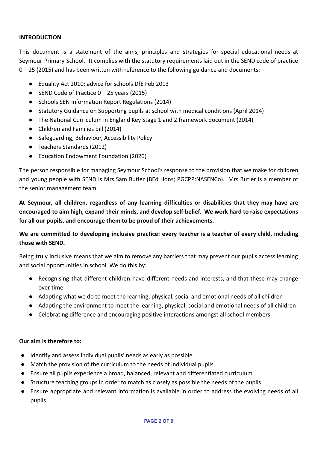#### **INTRODUCTION**

This document is a statement of the aims, principles and strategies for special educational needs at Seymour Primary School. It complies with the statutory requirements laid out in the SEND code of practice 0 – 25 (2015) and has been written with reference to the following guidance and documents:

- Equality Act 2010: advice for schools DfE Feb 2013
- $\bullet$  SEND Code of Practice 0 25 years (2015)
- Schools SEN Information Report Regulations (2014)
- Statutory Guidance on Supporting pupils at school with medical conditions (April 2014)
- The National Curriculum in England Key Stage 1 and 2 framework document (2014)
- Children and Families bill (2014)
- Safeguarding, Behaviour, Accessibility Policy
- Teachers Standards (2012)
- Education Endowment Foundation (2020)

The person responsible for managing Seymour School's response to the provision that we make for children and young people with SEND is Mrs Sam Butler (BEd Hons; PGCPP:NASENCo). Mrs Butler is a member of the senior management team.

**At Seymour, all children, regardless of any learning difficulties or disabilities that they may have are encouraged to aim high, expand their minds, and develop self-belief. We work hard to raise expectations for all our pupils, and encourage them to be proud of their achievements.**

# **We are committed to developing inclusive practice: every teacher is a teacher of every child, including those with SEND.**

Being truly inclusive means that we aim to remove any barriers that may prevent our pupils access learning and social opportunities in school. We do this by:

- Recognising that different children have different needs and interests, and that these may change over time
- Adapting what we do to meet the learning, physical, social and emotional needs of all children
- Adapting the environment to meet the learning, physical, social and emotional needs of all children
- Celebrating difference and encouraging positive interactions amongst all school members

# **Our aim is therefore to:**

- Identify and assess individual pupils' needs as early as possible
- Match the provision of the curriculum to the needs of individual pupils
- Ensure all pupils experience a broad, balanced, relevant and differentiated curriculum
- Structure teaching groups in order to match as closely as possible the needs of the pupils
- Ensure appropriate and relevant information is available in order to address the evolving needs of all pupils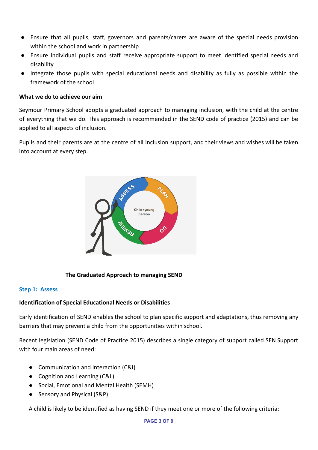- Ensure that all pupils, staff, governors and parents/carers are aware of the special needs provision within the school and work in partnership
- Ensure individual pupils and staff receive appropriate support to meet identified special needs and disability
- Integrate those pupils with special educational needs and disability as fully as possible within the framework of the school

#### **What we do to achieve our aim**

Seymour Primary School adopts a graduated approach to managing inclusion, with the child at the centre of everything that we do. This approach is recommended in the SEND code of practice (2015) and can be applied to all aspects of inclusion.

Pupils and their parents are at the centre of all inclusion support, and their views and wishes will be taken into account at every step.



# **The Graduated Approach to managing SEND**

#### **Step 1: Assess**

# **Identification of Special Educational Needs or Disabilities**

Early identification of SEND enables the school to plan specific support and adaptations, thus removing any barriers that may prevent a child from the opportunities within school.

Recent legislation (SEND Code of Practice 2015) describes a single category of support called SEN Support with four main areas of need:

- Communication and Interaction (C&I)
- Cognition and Learning (C&L)
- Social, Emotional and Mental Health (SEMH)
- Sensory and Physical (S&P)

A child is likely to be identified as having SEND if they meet one or more of the following criteria: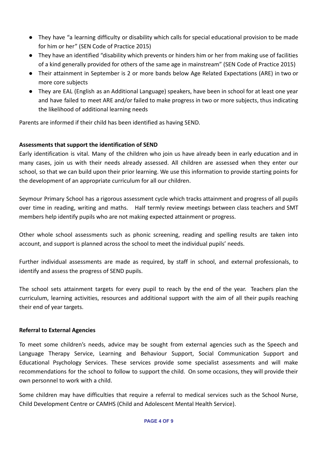- They have "a learning difficulty or disability which calls for special educational provision to be made for him or her" (SEN Code of Practice 2015)
- They have an identified "disability which prevents or hinders him or her from making use of facilities of a kind generally provided for others of the same age in mainstream" (SEN Code of Practice 2015)
- Their attainment in September is 2 or more bands below Age Related Expectations (ARE) in two or more core subjects
- They are EAL (English as an Additional Language) speakers, have been in school for at least one year and have failed to meet ARE and/or failed to make progress in two or more subjects, thus indicating the likelihood of additional learning needs

Parents are informed if their child has been identified as having SEND.

# **Assessments that support the identification of SEND**

Early identification is vital. Many of the children who join us have already been in early education and in many cases, join us with their needs already assessed. All children are assessed when they enter our school, so that we can build upon their prior learning. We use this information to provide starting points for the development of an appropriate curriculum for all our children.

Seymour Primary School has a rigorous assessment cycle which tracks attainment and progress of all pupils over time in reading, writing and maths. Half termly review meetings between class teachers and SMT members help identify pupils who are not making expected attainment or progress.

Other whole school assessments such as phonic screening, reading and spelling results are taken into account, and support is planned across the school to meet the individual pupils' needs.

Further individual assessments are made as required, by staff in school, and external professionals, to identify and assess the progress of SEND pupils.

The school sets attainment targets for every pupil to reach by the end of the year. Teachers plan the curriculum, learning activities, resources and additional support with the aim of all their pupils reaching their end of year targets.

#### **Referral to External Agencies**

To meet some children's needs, advice may be sought from external agencies such as the Speech and Language Therapy Service, Learning and Behaviour Support, Social Communication Support and Educational Psychology Services. These services provide some specialist assessments and will make recommendations for the school to follow to support the child. On some occasions, they will provide their own personnel to work with a child.

Some children may have difficulties that require a referral to medical services such as the School Nurse, Child Development Centre or CAMHS (Child and Adolescent Mental Health Service).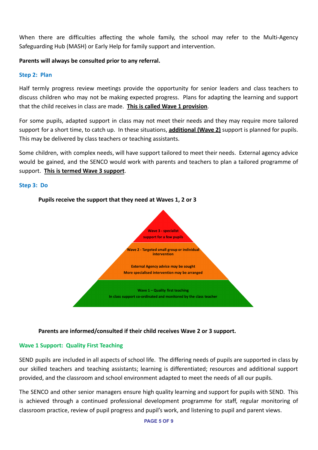When there are difficulties affecting the whole family, the school may refer to the Multi-Agency Safeguarding Hub (MASH) or Early Help for family support and intervention.

## **Parents will always be consulted prior to any referral.**

#### **Step 2: Plan**

Half termly progress review meetings provide the opportunity for senior leaders and class teachers to discuss children who may not be making expected progress. Plans for adapting the learning and support that the child receives in class are made. **This is called Wave 1 provision**.

For some pupils, adapted support in class may not meet their needs and they may require more tailored support for a short time, to catch up. In these situations, **additional (Wave 2)** support is planned for pupils. This may be delivered by class teachers or teaching assistants.

Some children, with complex needs, will have support tailored to meet their needs. External agency advice would be gained, and the SENCO would work with parents and teachers to plan a tailored programme of support. **This is termed Wave 3 support**.

#### **Step 3: Do**



#### **Pupils receive the support that they need at Waves 1, 2 or 3**

**Parents are informed/consulted if their child receives Wave 2 or 3 support.**

#### **Wave 1 Support: Quality First Teaching**

SEND pupils are included in all aspects of school life. The differing needs of pupils are supported in class by our skilled teachers and teaching assistants; learning is differentiated; resources and additional support provided, and the classroom and school environment adapted to meet the needs of all our pupils.

The SENCO and other senior managers ensure high quality learning and support for pupils with SEND. This is achieved through a continued professional development programme for staff, regular monitoring of classroom practice, review of pupil progress and pupil's work, and listening to pupil and parent views.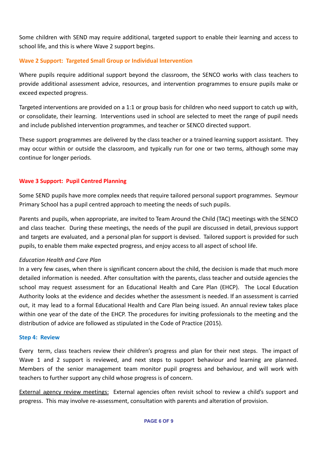Some children with SEND may require additional, targeted support to enable their learning and access to school life, and this is where Wave 2 support begins.

## **Wave 2 Support: Targeted Small Group or Individual Intervention**

Where pupils require additional support beyond the classroom, the SENCO works with class teachers to provide additional assessment advice, resources, and intervention programmes to ensure pupils make or exceed expected progress.

Targeted interventions are provided on a 1:1 or group basis for children who need support to catch up with, or consolidate, their learning. Interventions used in school are selected to meet the range of pupil needs and include published intervention programmes, and teacher or SENCO directed support.

These support programmes are delivered by the class teacher or a trained learning support assistant. They may occur within or outside the classroom, and typically run for one or two terms, although some may continue for longer periods.

#### **Wave 3 Support: Pupil Centred Planning**

Some SEND pupils have more complex needs that require tailored personal support programmes. Seymour Primary School has a pupil centred approach to meeting the needs of such pupils.

Parents and pupils, when appropriate, are invited to Team Around the Child (TAC) meetings with the SENCO and class teacher. During these meetings, the needs of the pupil are discussed in detail, previous support and targets are evaluated, and a personal plan for support is devised. Tailored support is provided for such pupils, to enable them make expected progress, and enjoy access to all aspect of school life.

#### *Education Health and Care Plan*

In a very few cases, when there is significant concern about the child, the decision is made that much more detailed information is needed. After consultation with the parents, class teacher and outside agencies the school may request assessment for an Educational Health and Care Plan (EHCP). The Local Education Authority looks at the evidence and decides whether the assessment is needed. If an assessment is carried out, it may lead to a formal Educational Health and Care Plan being issued. An annual review takes place within one year of the date of the EHCP. The procedures for inviting professionals to the meeting and the distribution of advice are followed as stipulated in the Code of Practice (2015).

#### **Step 4: Review**

Every term, class teachers review their children's progress and plan for their next steps. The impact of Wave 1 and 2 support is reviewed, and next steps to support behaviour and learning are planned. Members of the senior management team monitor pupil progress and behaviour, and will work with teachers to further support any child whose progress is of concern.

**External agency review meetings:** External agencies often revisit school to review a child's support and progress. This may involve re-assessment, consultation with parents and alteration of provision.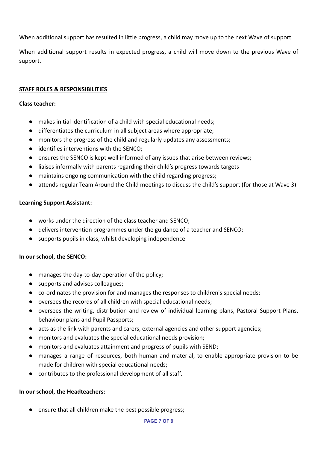When additional support has resulted in little progress, a child may move up to the next Wave of support.

When additional support results in expected progress, a child will move down to the previous Wave of support.

# **STAFF ROLES & RESPONSIBILITIES**

## **Class teacher:**

- makes initial identification of a child with special educational needs;
- differentiates the curriculum in all subject areas where appropriate;
- monitors the progress of the child and regularly updates any assessments;
- identifies interventions with the SENCO;
- ensures the SENCO is kept well informed of any issues that arise between reviews;
- liaises informally with parents regarding their child's progress towards targets
- maintains ongoing communication with the child regarding progress;
- attends regular Team Around the Child meetings to discuss the child's support (for those at Wave 3)

# **Learning Support Assistant:**

- works under the direction of the class teacher and SENCO;
- delivers intervention programmes under the guidance of a teacher and SENCO;
- supports pupils in class, whilst developing independence

# **In our school, the SENCO:**

- manages the day-to-day operation of the policy;
- supports and advises colleagues:
- co-ordinates the provision for and manages the responses to children's special needs;
- oversees the records of all children with special educational needs;
- oversees the writing, distribution and review of individual learning plans, Pastoral Support Plans, behaviour plans and Pupil Passports;
- acts as the link with parents and carers, external agencies and other support agencies;
- monitors and evaluates the special educational needs provision;
- monitors and evaluates attainment and progress of pupils with SEND;
- manages a range of resources, both human and material, to enable appropriate provision to be made for children with special educational needs;
- contributes to the professional development of all staff.

# **In our school, the Headteachers:**

● ensure that all children make the best possible progress;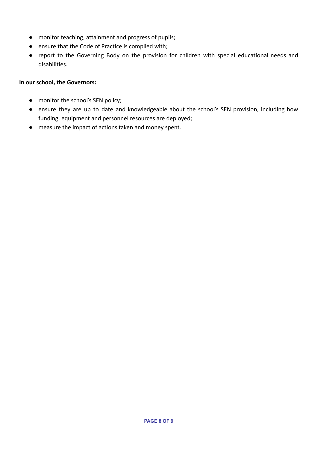- monitor teaching, attainment and progress of pupils;
- ensure that the Code of Practice is complied with;
- report to the Governing Body on the provision for children with special educational needs and disabilities.

#### **In our school, the Governors:**

- monitor the school's SEN policy;
- ensure they are up to date and knowledgeable about the school's SEN provision, including how funding, equipment and personnel resources are deployed;
- measure the impact of actions taken and money spent.